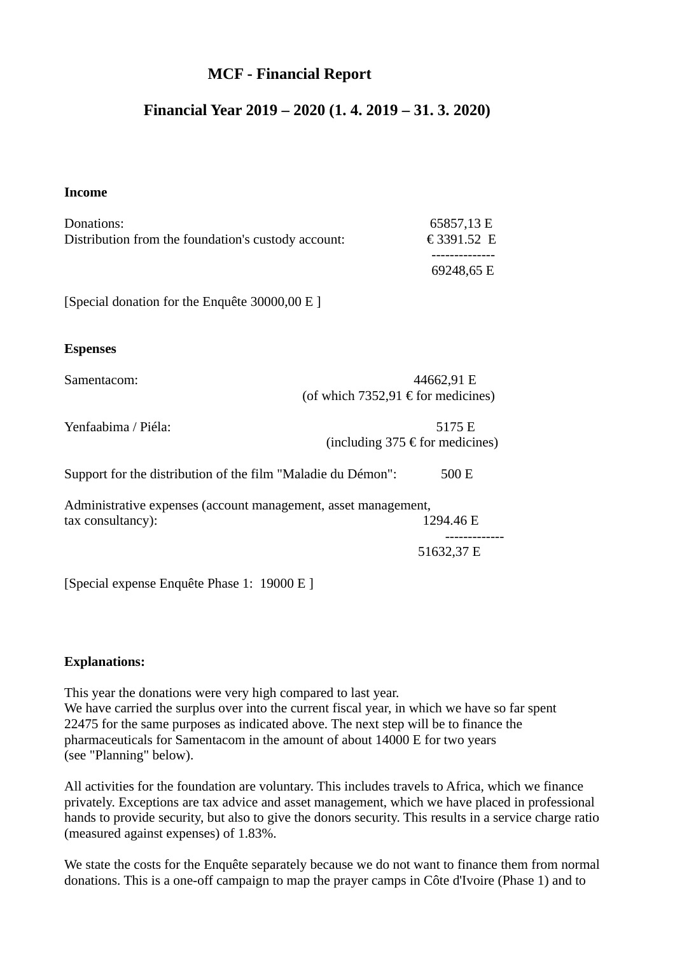# **MCF - Financial Report**

# **Financial Year 2019 – 2020 (1. 4. 2019 – 31. 3. 2020)**

#### **Income**

| Donations:                                                                          | 65857,13 E                                         |
|-------------------------------------------------------------------------------------|----------------------------------------------------|
| Distribution from the foundation's custody account:                                 | € 3391.52 E                                        |
|                                                                                     | 69248,65 E                                         |
| [Special donation for the Enquête 30000,00 E]                                       |                                                    |
| <b>Espenses</b>                                                                     |                                                    |
| Samentacom:                                                                         | 44662,91 E<br>(of which 7352,91 € for medicines)   |
| Yenfaabima / Piéla:                                                                 | 5175 E<br>(including 375 $\epsilon$ for medicines) |
| Support for the distribution of the film "Maladie du Démon":                        | 500 E                                              |
| Administrative expenses (account management, asset management,<br>tax consultancy): | 1294.46 E                                          |
|                                                                                     | <br>51632,37 E                                     |
| [Special expense Enquête Phase 1: 19000 E]                                          |                                                    |

#### **Explanations:**

This year the donations were very high compared to last year. We have carried the surplus over into the current fiscal year, in which we have so far spent 22475 for the same purposes as indicated above. The next step will be to finance the pharmaceuticals for Samentacom in the amount of about 14000 E for two years (see "Planning" below).

All activities for the foundation are voluntary. This includes travels to Africa, which we finance privately. Exceptions are tax advice and asset management, which we have placed in professional hands to provide security, but also to give the donors security. This results in a service charge ratio (measured against expenses) of 1.83%.

We state the costs for the Enquête separately because we do not want to finance them from normal donations. This is a one-off campaign to map the prayer camps in Côte d'Ivoire (Phase 1) and to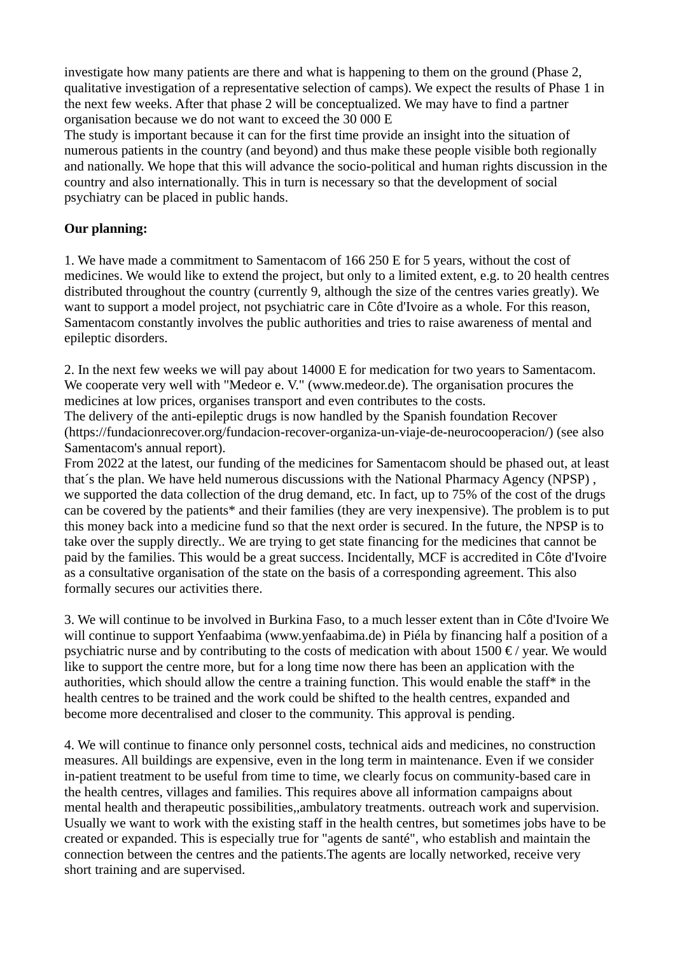investigate how many patients are there and what is happening to them on the ground (Phase 2, qualitative investigation of a representative selection of camps). We expect the results of Phase 1 in the next few weeks. After that phase 2 will be conceptualized. We may have to find a partner organisation because we do not want to exceed the 30 000 E

The study is important because it can for the first time provide an insight into the situation of numerous patients in the country (and beyond) and thus make these people visible both regionally and nationally. We hope that this will advance the socio-political and human rights discussion in the country and also internationally. This in turn is necessary so that the development of social psychiatry can be placed in public hands.

### **Our planning:**

1. We have made a commitment to Samentacom of 166 250 E for 5 years, without the cost of medicines. We would like to extend the project, but only to a limited extent, e.g. to 20 health centres distributed throughout the country (currently 9, although the size of the centres varies greatly). We want to support a model project, not psychiatric care in Côte d'Ivoire as a whole. For this reason, Samentacom constantly involves the public authorities and tries to raise awareness of mental and epileptic disorders.

2. In the next few weeks we will pay about 14000 E for medication for two years to Samentacom. We cooperate very well with "Medeor e. V." (www.medeor.de). The organisation procures the medicines at low prices, organises transport and even contributes to the costs.

The delivery of the anti-epileptic drugs is now handled by the Spanish foundation Recover (https://fundacionrecover.org/fundacion-recover-organiza-un-viaje-de-neurocooperacion/) (see also Samentacom's annual report).

From 2022 at the latest, our funding of the medicines for Samentacom should be phased out, at least that´s the plan. We have held numerous discussions with the National Pharmacy Agency (NPSP) , we supported the data collection of the drug demand, etc. In fact, up to 75% of the cost of the drugs can be covered by the patients\* and their families (they are very inexpensive). The problem is to put this money back into a medicine fund so that the next order is secured. In the future, the NPSP is to take over the supply directly.. We are trying to get state financing for the medicines that cannot be paid by the families. This would be a great success. Incidentally, MCF is accredited in Côte d'Ivoire as a consultative organisation of the state on the basis of a corresponding agreement. This also formally secures our activities there.

3. We will continue to be involved in Burkina Faso, to a much lesser extent than in Côte d'Ivoire We will continue to support Yenfaabima (www.yenfaabima.de) in Piéla by financing half a position of a psychiatric nurse and by contributing to the costs of medication with about  $1500 \text{ E}$  / year. We would like to support the centre more, but for a long time now there has been an application with the authorities, which should allow the centre a training function. This would enable the staff\* in the health centres to be trained and the work could be shifted to the health centres, expanded and become more decentralised and closer to the community. This approval is pending.

4. We will continue to finance only personnel costs, technical aids and medicines, no construction measures. All buildings are expensive, even in the long term in maintenance. Even if we consider in-patient treatment to be useful from time to time, we clearly focus on community-based care in the health centres, villages and families. This requires above all information campaigns about mental health and therapeutic possibilities,,ambulatory treatments. outreach work and supervision. Usually we want to work with the existing staff in the health centres, but sometimes jobs have to be created or expanded. This is especially true for "agents de santé", who establish and maintain the connection between the centres and the patients.The agents are locally networked, receive very short training and are supervised.